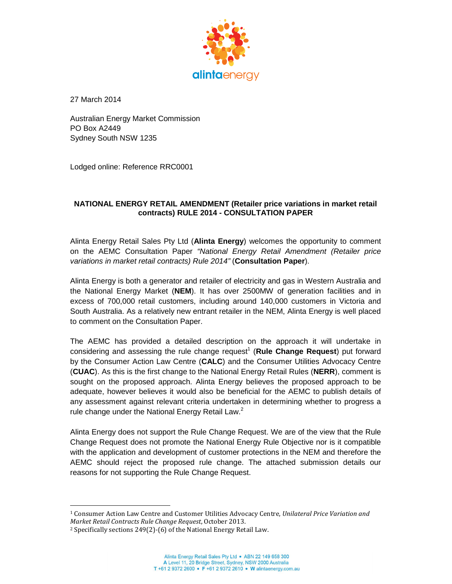

27 March 2014

Australian Energy Market Commission PO Box A2449 Sydney South NSW 1235

Lodged online: Reference RRC0001

## **NATIONAL ENERGY RETAIL AMENDMENT (Retailer price variations in market retail contracts) RULE 2014 - CONSULTATION PAPER**

Alinta Energy Retail Sales Pty Ltd (**Alinta Energy**) welcomes the opportunity to comment on the AEMC Consultation Paper "National Energy Retail Amendment (Retailer price variations in market retail contracts) Rule 2014" (**Consultation Paper**).

Alinta Energy is both a generator and retailer of electricity and gas in Western Australia and the National Energy Market (**NEM**). It has over 2500MW of generation facilities and in excess of 700,000 retail customers, including around 140,000 customers in Victoria and South Australia. As a relatively new entrant retailer in the NEM, Alinta Energy is well placed to comment on the Consultation Paper.

The AEMC has provided a detailed description on the approach it will undertake in considering and assessing the rule change request<sup>1</sup> (Rule Change Request) put forward by the Consumer Action Law Centre (**CALC**) and the Consumer Utilities Advocacy Centre (**CUAC**). As this is the first change to the National Energy Retail Rules (**NERR**), comment is sought on the proposed approach. Alinta Energy believes the proposed approach to be adequate, however believes it would also be beneficial for the AEMC to publish details of any assessment against relevant criteria undertaken in determining whether to progress a rule change under the National Energy Retail Law. $2$ 

Alinta Energy does not support the Rule Change Request. We are of the view that the Rule Change Request does not promote the National Energy Rule Objective nor is it compatible with the application and development of customer protections in the NEM and therefore the AEMC should reject the proposed rule change. The attached submission details our reasons for not supporting the Rule Change Request.

<sup>1</sup> <sup>1</sup> Consumer Action Law Centre and Customer Utilities Advocacy Centre, *Unilateral Price Variation and Market Retail Contracts Rule Change Request*, October 2013.

<sup>2</sup> Specifically sections 249(2)-(6) of the National Energy Retail Law.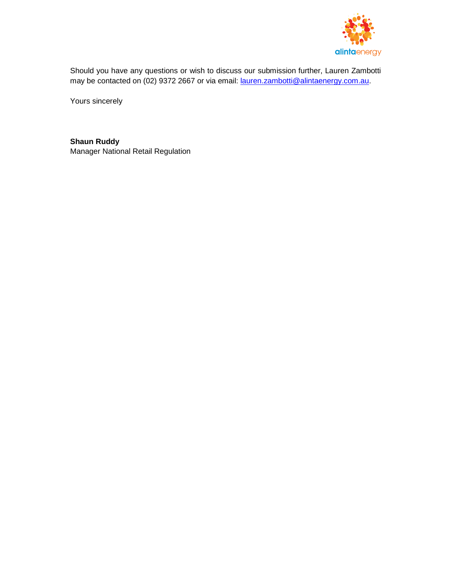

Should you have any questions or wish to discuss our submission further, Lauren Zambotti may be contacted on (02) 9372 2667 or via email: lauren.zambotti@alintaenergy.com.au.

Yours sincerely

**Shaun Ruddy**  Manager National Retail Regulation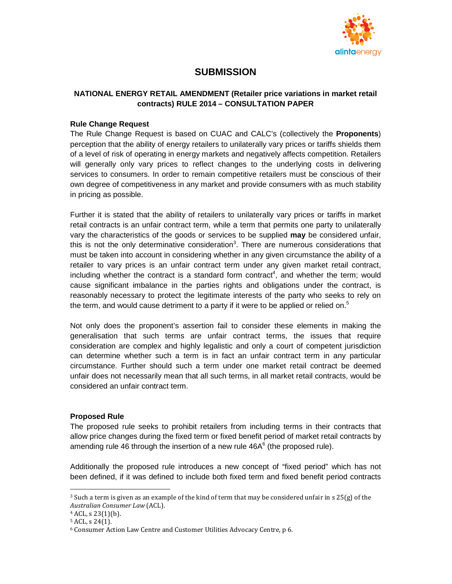

# **SUBMISSION**

## **NATIONAL ENERGY RETAIL AMENDMENT (Retailer price variations in market retail contracts) RULE 2014 – CONSULTATION PAPER**

#### **Rule Change Request**

The Rule Change Request is based on CUAC and CALC's (collectively the **Proponents**) perception that the ability of energy retailers to unilaterally vary prices or tariffs shields them of a level of risk of operating in energy markets and negatively affects competition. Retailers will generally only vary prices to reflect changes to the underlying costs in delivering services to consumers. In order to remain competitive retailers must be conscious of their own degree of competitiveness in any market and provide consumers with as much stability in pricing as possible.

Further it is stated that the ability of retailers to unilaterally vary prices or tariffs in market retail contracts is an unfair contract term, while a term that permits one party to unilaterally vary the characteristics of the goods or services to be supplied **may** be considered unfair, this is not the only determinative consideration<sup>3</sup>. There are numerous considerations that must be taken into account in considering whether in any given circumstance the ability of a retailer to vary prices is an unfair contract term under any given market retail contract, including whether the contract is a standard form contract<sup>4</sup>, and whether the term; would cause significant imbalance in the parties rights and obligations under the contract, is reasonably necessary to protect the legitimate interests of the party who seeks to rely on the term, and would cause detriment to a party if it were to be applied or relied on.<sup>5</sup>

Not only does the proponent's assertion fail to consider these elements in making the generalisation that such terms are unfair contract terms, the issues that require consideration are complex and highly legalistic and only a court of competent jurisdiction can determine whether such a term is in fact an unfair contract term in any particular circumstance. Further should such a term under one market retail contract be deemed unfair does not necessarily mean that all such terms, in all market retail contracts, would be considered an unfair contract term.

#### **Proposed Rule**

The proposed rule seeks to prohibit retailers from including terms in their contracts that allow price changes during the fixed term or fixed benefit period of market retail contracts by amending rule 46 through the insertion of a new rule 46A $<sup>6</sup>$  (the proposed rule).</sup>

Additionally the proposed rule introduces a new concept of "fixed period" which has not been defined, if it was defined to include both fixed term and fixed benefit period contracts

1

<sup>&</sup>lt;sup>3</sup> Such a term is given as an example of the kind of term that may be considered unfair in s  $25(g)$  of the *Australian Consumer Law* (ACL).

 $4$  ACL, s 23(1)(b).

 $5$  ACL, s 24(1).

<sup>6</sup> Consumer Action Law Centre and Customer Utilities Advocacy Centre, p 6.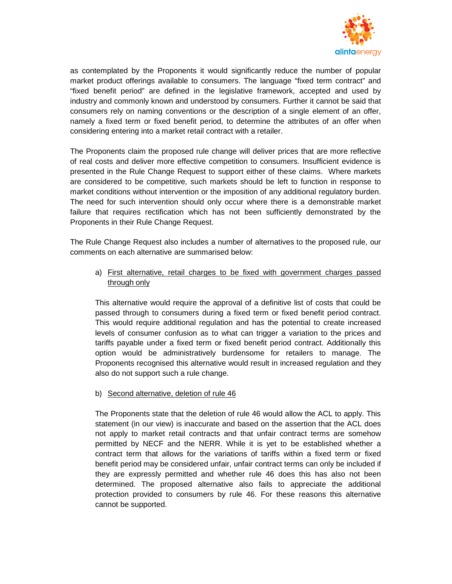

as contemplated by the Proponents it would significantly reduce the number of popular market product offerings available to consumers. The language "fixed term contract" and "fixed benefit period" are defined in the legislative framework, accepted and used by industry and commonly known and understood by consumers. Further it cannot be said that consumers rely on naming conventions or the description of a single element of an offer, namely a fixed term or fixed benefit period, to determine the attributes of an offer when considering entering into a market retail contract with a retailer.

The Proponents claim the proposed rule change will deliver prices that are more reflective of real costs and deliver more effective competition to consumers. Insufficient evidence is presented in the Rule Change Request to support either of these claims. Where markets are considered to be competitive, such markets should be left to function in response to market conditions without intervention or the imposition of any additional regulatory burden. The need for such intervention should only occur where there is a demonstrable market failure that requires rectification which has not been sufficiently demonstrated by the Proponents in their Rule Change Request.

The Rule Change Request also includes a number of alternatives to the proposed rule, our comments on each alternative are summarised below:

## a) First alternative, retail charges to be fixed with government charges passed through only

This alternative would require the approval of a definitive list of costs that could be passed through to consumers during a fixed term or fixed benefit period contract. This would require additional regulation and has the potential to create increased levels of consumer confusion as to what can trigger a variation to the prices and tariffs payable under a fixed term or fixed benefit period contract. Additionally this option would be administratively burdensome for retailers to manage. The Proponents recognised this alternative would result in increased regulation and they also do not support such a rule change.

#### b) Second alternative, deletion of rule 46

The Proponents state that the deletion of rule 46 would allow the ACL to apply. This statement (in our view) is inaccurate and based on the assertion that the ACL does not apply to market retail contracts and that unfair contract terms are somehow permitted by NECF and the NERR. While it is yet to be established whether a contract term that allows for the variations of tariffs within a fixed term or fixed benefit period may be considered unfair, unfair contract terms can only be included if they are expressly permitted and whether rule 46 does this has also not been determined. The proposed alternative also fails to appreciate the additional protection provided to consumers by rule 46. For these reasons this alternative cannot be supported.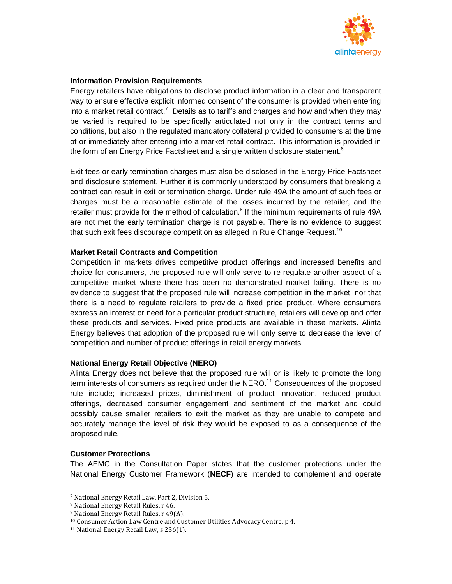

### **Information Provision Requirements**

Energy retailers have obligations to disclose product information in a clear and transparent way to ensure effective explicit informed consent of the consumer is provided when entering into a market retail contract.<sup>7</sup> Details as to tariffs and charges and how and when they may be varied is required to be specifically articulated not only in the contract terms and conditions, but also in the regulated mandatory collateral provided to consumers at the time of or immediately after entering into a market retail contract. This information is provided in the form of an Energy Price Factsheet and a single written disclosure statement.<sup>8</sup>

Exit fees or early termination charges must also be disclosed in the Energy Price Factsheet and disclosure statement. Further it is commonly understood by consumers that breaking a contract can result in exit or termination charge. Under rule 49A the amount of such fees or charges must be a reasonable estimate of the losses incurred by the retailer, and the retailer must provide for the method of calculation.<sup>9</sup> If the minimum requirements of rule 49A are not met the early termination charge is not payable. There is no evidence to suggest that such exit fees discourage competition as alleged in Rule Change Request.<sup>10</sup>

## **Market Retail Contracts and Competition**

Competition in markets drives competitive product offerings and increased benefits and choice for consumers, the proposed rule will only serve to re-regulate another aspect of a competitive market where there has been no demonstrated market failing. There is no evidence to suggest that the proposed rule will increase competition in the market, nor that there is a need to regulate retailers to provide a fixed price product. Where consumers express an interest or need for a particular product structure, retailers will develop and offer these products and services. Fixed price products are available in these markets. Alinta Energy believes that adoption of the proposed rule will only serve to decrease the level of competition and number of product offerings in retail energy markets.

#### **National Energy Retail Objective (NERO)**

Alinta Energy does not believe that the proposed rule will or is likely to promote the long term interests of consumers as required under the  $NERO<sup>11</sup>$  Consequences of the proposed rule include; increased prices, diminishment of product innovation, reduced product offerings, decreased consumer engagement and sentiment of the market and could possibly cause smaller retailers to exit the market as they are unable to compete and accurately manage the level of risk they would be exposed to as a consequence of the proposed rule.

## **Customer Protections**

1

The AEMC in the Consultation Paper states that the customer protections under the National Energy Customer Framework (**NECF**) are intended to complement and operate

<sup>7</sup> National Energy Retail Law, Part 2, Division 5.

<sup>8</sup> National Energy Retail Rules, r 46.

<sup>9</sup> National Energy Retail Rules, r 49(A).

<sup>10</sup> Consumer Action Law Centre and Customer Utilities Advocacy Centre, p 4.

<sup>11</sup> National Energy Retail Law, s 236(1).